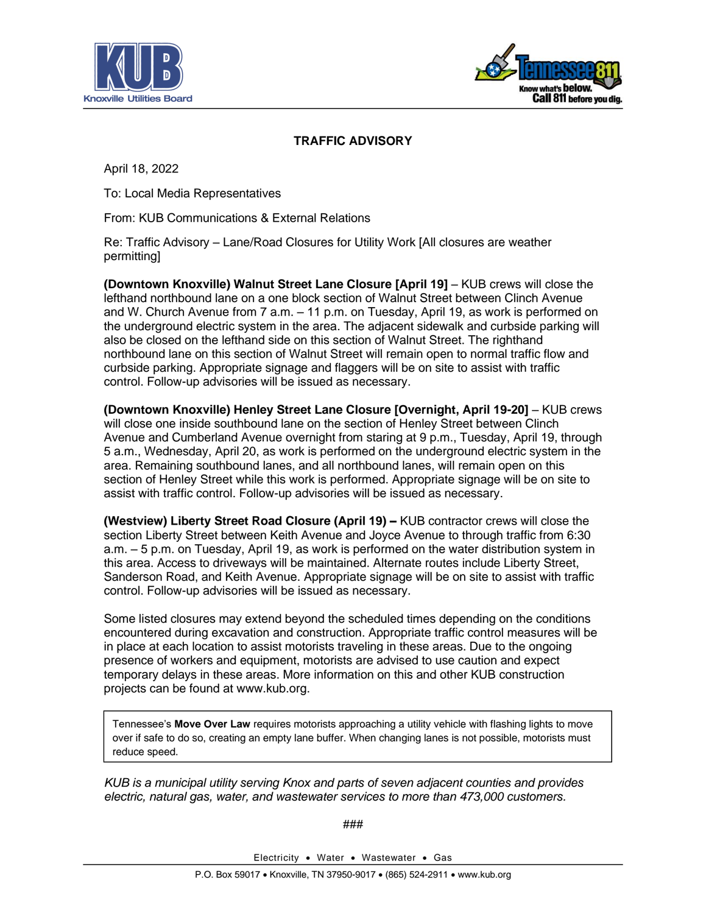



## **TRAFFIC ADVISORY**

April 18, 2022

To: Local Media Representatives

From: KUB Communications & External Relations

Re: Traffic Advisory – Lane/Road Closures for Utility Work [All closures are weather permitting]

**(Downtown Knoxville) Walnut Street Lane Closure [April 19]** – KUB crews will close the lefthand northbound lane on a one block section of Walnut Street between Clinch Avenue and W. Church Avenue from 7 a.m. – 11 p.m. on Tuesday, April 19, as work is performed on the underground electric system in the area. The adjacent sidewalk and curbside parking will also be closed on the lefthand side on this section of Walnut Street. The righthand northbound lane on this section of Walnut Street will remain open to normal traffic flow and curbside parking. Appropriate signage and flaggers will be on site to assist with traffic control. Follow-up advisories will be issued as necessary.

**(Downtown Knoxville) Henley Street Lane Closure [Overnight, April 19-20]** – KUB crews will close one inside southbound lane on the section of Henley Street between Clinch Avenue and Cumberland Avenue overnight from staring at 9 p.m., Tuesday, April 19, through 5 a.m., Wednesday, April 20, as work is performed on the underground electric system in the area. Remaining southbound lanes, and all northbound lanes, will remain open on this section of Henley Street while this work is performed. Appropriate signage will be on site to assist with traffic control. Follow-up advisories will be issued as necessary.

**(Westview) Liberty Street Road Closure (April 19) –** KUB contractor crews will close the section Liberty Street between Keith Avenue and Joyce Avenue to through traffic from 6:30 a.m. – 5 p.m. on Tuesday, April 19, as work is performed on the water distribution system in this area. Access to driveways will be maintained. Alternate routes include Liberty Street, Sanderson Road, and Keith Avenue. Appropriate signage will be on site to assist with traffic control. Follow-up advisories will be issued as necessary.

Some listed closures may extend beyond the scheduled times depending on the conditions encountered during excavation and construction. Appropriate traffic control measures will be in place at each location to assist motorists traveling in these areas. Due to the ongoing presence of workers and equipment, motorists are advised to use caution and expect temporary delays in these areas. More information on this and other KUB construction projects can be found at www.kub.org.

Tennessee's **Move Over Law** requires motorists approaching a utility vehicle with flashing lights to move over if safe to do so, creating an empty lane buffer. When changing lanes is not possible, motorists must reduce speed.

*KUB is a municipal utility serving Knox and parts of seven adjacent counties and provides electric, natural gas, water, and wastewater services to more than 473,000 customers.*

###

Electricity • Water • Wastewater • Gas